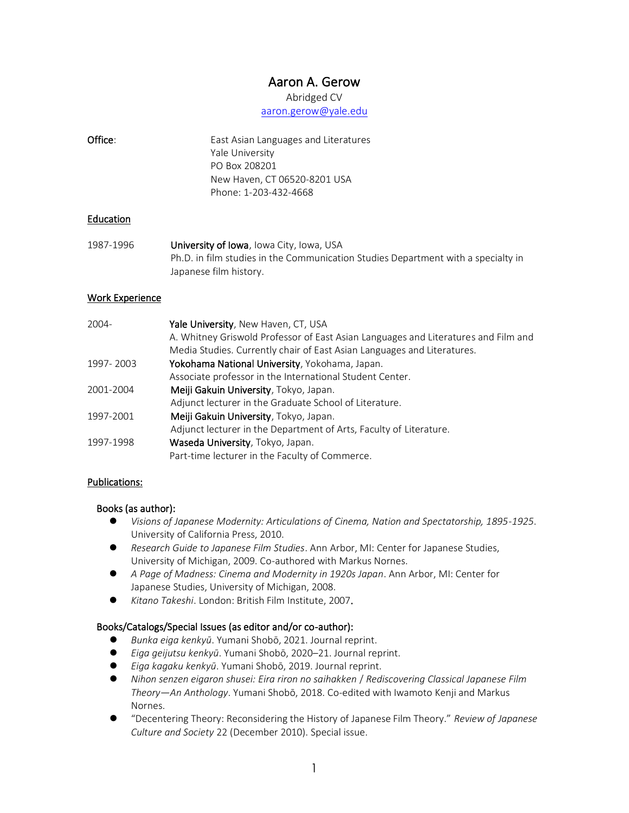# Aaron A. Gerow

Abridged CV

[aaron.gerow@yale.edu](mailto:aaron.gerow@yale.edu)

Office: East Asian Languages and Literatures Yale University PO Box 208201 New Haven, CT 06520-8201 USA Phone: 1-203-432-4668

#### Education

1987-1996 University of Iowa, Iowa City, Iowa, USA Ph.D. in film studies in the Communication Studies Department with a specialty in Japanese film history.

#### Work Experience

| Yale University, New Haven, CT, USA                                                |
|------------------------------------------------------------------------------------|
| A. Whitney Griswold Professor of East Asian Languages and Literatures and Film and |
| Media Studies. Currently chair of East Asian Languages and Literatures.            |
| Yokohama National University, Yokohama, Japan.                                     |
| Associate professor in the International Student Center.                           |
| Meiji Gakuin University, Tokyo, Japan.                                             |
| Adjunct lecturer in the Graduate School of Literature.                             |
| Meiji Gakuin University, Tokyo, Japan.                                             |
| Adjunct lecturer in the Department of Arts, Faculty of Literature.                 |
| Waseda University, Tokyo, Japan.                                                   |
| Part-time lecturer in the Faculty of Commerce.                                     |
|                                                                                    |

### Publications:

### Books (as author):

- ⚫ *Visions of Japanese Modernity: Articulations of Cinema, Nation and Spectatorship, 1895-1925*. University of California Press, 2010.
- ⚫ *Research Guide to Japanese Film Studies*. Ann Arbor, MI: Center for Japanese Studies, University of Michigan, 2009. Co-authored with Markus Nornes.
- ⚫ *A Page of Madness: Cinema and Modernity in 1920s Japan*. Ann Arbor, MI: Center for Japanese Studies, University of Michigan, 2008.
- ⚫ *Kitano Takeshi*. London: British Film Institute, 2007.

### Books/Catalogs/Special Issues (as editor and/or co-author):

- ⚫ *Bunka eiga kenkyū*. Yumani Shobō, 2021. Journal reprint.
- ⚫ *Eiga geijutsu kenkyū*. Yumani Shobō, 2020–21. Journal reprint.
- ⚫ *Eiga kagaku kenkyū*. Yumani Shobō, 2019. Journal reprint.
- ⚫ *Nihon senzen eigaron shusei: Eira riron no saihakken* / *Rediscovering Classical Japanese Film Theory—An Anthology*. Yumani Shobō, 2018. Co-edited with Iwamoto Kenji and Markus Nornes.
- ⚫ "Decentering Theory: Reconsidering the History of Japanese Film Theory." *Review of Japanese Culture and Society* 22 (December 2010). Special issue.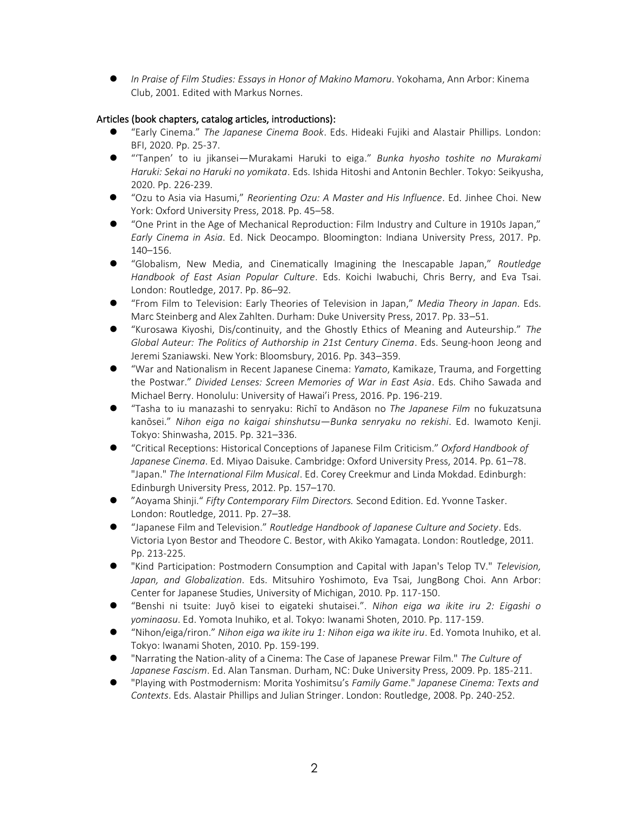⚫ *In Praise of Film Studies: Essays in Honor of Makino Mamoru*. Yokohama, Ann Arbor: Kinema Club, 2001. Edited with Markus Nornes.

## Articles (book chapters, catalog articles, introductions):

- ⚫ "Early Cinema." *The Japanese Cinema Book*. Eds. Hideaki Fujiki and Alastair Phillips. London: BFI, 2020. Pp. 25-37.
- ⚫ "'Tanpen' to iu jikansei—Murakami Haruki to eiga." *Bunka hyosho toshite no Murakami Haruki: Sekai no Haruki no yomikata*. Eds. Ishida Hitoshi and Antonin Bechler. Tokyo: Seikyusha, 2020. Pp. 226-239.
- ⚫ "Ozu to Asia via Hasumi," *Reorienting Ozu: A Master and His Influence*. Ed. Jinhee Choi. New York: Oxford University Press, 2018. Pp. 45–58.
- ⚫ "One Print in the Age of Mechanical Reproduction: Film Industry and Culture in 1910s Japan," *Early Cinema in Asia*. Ed. Nick Deocampo. Bloomington: Indiana University Press, 2017. Pp. 140–156.
- ⚫ "Globalism, New Media, and Cinematically Imagining the Inescapable Japan," *Routledge Handbook of East Asian Popular Culture*. Eds. Koichi Iwabuchi, Chris Berry, and Eva Tsai. London: Routledge, 2017. Pp. 86–92.
- ⚫ "From Film to Television: Early Theories of Television in Japan," *Media Theory in Japan*. Eds. Marc Steinberg and Alex Zahlten. Durham: Duke University Press, 2017. Pp. 33–51.
- ⚫ "Kurosawa Kiyoshi, Dis/continuity, and the Ghostly Ethics of Meaning and Auteurship." *The Global Auteur: The Politics of Authorship in 21st Century Cinema*. Eds. Seung-hoon Jeong and Jeremi Szaniawski. New York: Bloomsbury, 2016. Pp. 343–359.
- ⚫ "War and Nationalism in Recent Japanese Cinema: *Yamato*, Kamikaze, Trauma, and Forgetting the Postwar." *Divided Lenses: Screen Memories of War in East Asia*. Eds. Chiho Sawada and Michael Berry. Honolulu: University of Hawai'i Press, 2016. Pp. 196-219.
- ⚫ "Tasha to iu manazashi to senryaku: Richī to Andāson no *The Japanese Film* no fukuzatsuna kanōsei." *Nihon eiga no kaigai shinshutsu—Bunka senryaku no rekishi*. Ed. Iwamoto Kenji. Tokyo: Shinwasha, 2015. Pp. 321–336.
- ⚫ "Critical Receptions: Historical Conceptions of Japanese Film Criticism." *Oxford Handbook of Japanese Cinema*. Ed. Miyao Daisuke. Cambridge: Oxford University Press, 2014. Pp. 61–78. "Japan." *The International Film Musical*. Ed. Corey Creekmur and Linda Mokdad. Edinburgh: Edinburgh University Press, 2012. Pp. 157–170.
- ⚫ "Aoyama Shinji." *Fifty Contemporary Film Directors.* Second Edition. Ed. Yvonne Tasker. London: Routledge, 2011. Pp. 27–38.
- ⚫ "Japanese Film and Television." *Routledge Handbook of Japanese Culture and Society*. Eds. Victoria Lyon Bestor and Theodore C. Bestor, with Akiko Yamagata. London: Routledge, 2011. Pp. 213-225.
- ⚫ "Kind Participation: Postmodern Consumption and Capital with Japan's Telop TV." *Television, Japan, and Globalization*. Eds. Mitsuhiro Yoshimoto, Eva Tsai, JungBong Choi. Ann Arbor: Center for Japanese Studies, University of Michigan, 2010. Pp. 117-150.
- ⚫ "Benshi ni tsuite: Juyō kisei to eigateki shutaisei.". *Nihon eiga wa ikite iru 2: Eigashi o yominaosu*. Ed. Yomota Inuhiko, et al. Tokyo: Iwanami Shoten, 2010. Pp. 117-159.
- ⚫ "Nihon/eiga/riron." *Nihon eiga wa ikite iru 1: Nihon eiga wa ikite iru*. Ed. Yomota Inuhiko, et al. Tokyo: Iwanami Shoten, 2010. Pp. 159-199.
- ⚫ "Narrating the Nation-ality of a Cinema: The Case of Japanese Prewar Film." *The Culture of Japanese Fascism*. Ed. Alan Tansman. Durham, NC: Duke University Press, 2009. Pp. 185-211.
- ⚫ "Playing with Postmodernism: Morita Yoshimitsu's *Family Game*." *Japanese Cinema: Texts and Contexts*. Eds. Alastair Phillips and Julian Stringer. London: Routledge, 2008. Pp. 240-252.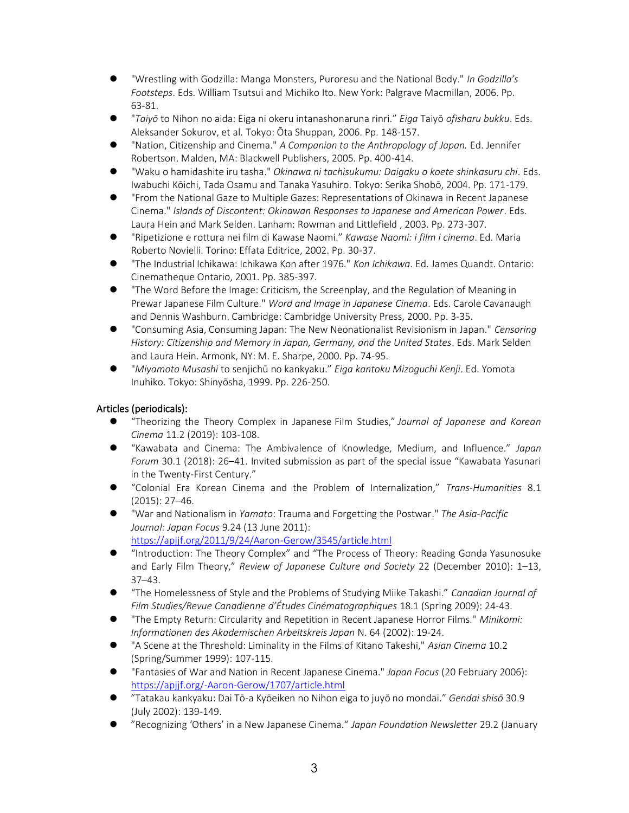- ⚫ "Wrestling with Godzilla: Manga Monsters, Puroresu and the National Body." *In Godzilla's Footsteps*. Eds. William Tsutsui and Michiko Ito. New York: Palgrave Macmillan, 2006. Pp. 63-81.
- ⚫ "*Taiyō* to Nihon no aida: Eiga ni okeru intanashonaruna rinri." *Eiga* Taiyō *ofisharu bukku*. Eds. Aleksander Sokurov, et al. Tokyo: Ōta Shuppan, 2006. Pp. 148-157.
- ⚫ "Nation, Citizenship and Cinema." *A Companion to the Anthropology of Japan.* Ed. Jennifer Robertson. Malden, MA: Blackwell Publishers, 2005. Pp. 400-414.
- ⚫ "Waku o hamidashite iru tasha." *Okinawa ni tachisukumu: Daigaku o koete shinkasuru chi*. Eds. Iwabuchi Kōichi, Tada Osamu and Tanaka Yasuhiro. Tokyo: Serika Shobō, 2004. Pp. 171-179.
- ⚫ "From the National Gaze to Multiple Gazes: Representations of Okinawa in Recent Japanese Cinema." *Islands of Discontent: Okinawan Responses to Japanese and American Power*. Eds. Laura Hein and Mark Selden. Lanham: Rowman and Littlefield , 2003. Pp. 273-307.
- ⚫ "Ripetizione e rottura nei film di Kawase Naomi." *Kawase Naomi: i film i cinema*. Ed. Maria Roberto Novielli. Torino: Effata Editrice, 2002. Pp. 30-37.
- ⚫ "The Industrial Ichikawa: Ichikawa Kon after 1976." *Kon Ichikawa*. Ed. James Quandt. Ontario: Cinematheque Ontario, 2001. Pp. 385-397.
- ⚫ "The Word Before the Image: Criticism, the Screenplay, and the Regulation of Meaning in Prewar Japanese Film Culture." *Word and Image in Japanese Cinema*. Eds. Carole Cavanaugh and Dennis Washburn. Cambridge: Cambridge University Press, 2000. Pp. 3-35.
- ⚫ "Consuming Asia, Consuming Japan: The New Neonationalist Revisionism in Japan." *Censoring History: Citizenship and Memory in Japan, Germany, and the United States*. Eds. Mark Selden and Laura Hein. Armonk, NY: M. E. Sharpe, 2000. Pp. 74-95.
- ⚫ "*Miyamoto Musashi* to senjichū no kankyaku." *Eiga kantoku Mizoguchi Kenji*. Ed. Yomota Inuhiko. Tokyo: Shinyōsha, 1999. Pp. 226-250.

# Articles (periodicals):

- ⚫ "Theorizing the Theory Complex in Japanese Film Studies," *Journal of Japanese and Korean Cinema* 11.2 (2019): 103-108.
- ⚫ "Kawabata and Cinema: The Ambivalence of Knowledge, Medium, and Influence." *Japan Forum* 30.1 (2018): 26–41. Invited submission as part of the special issue "Kawabata Yasunari in the Twenty-First Century."
- ⚫ "Colonial Era Korean Cinema and the Problem of Internalization," *Trans-Humanities* 8.1 (2015): 27–46.
- ⚫ "War and Nationalism in *Yamato*: Trauma and Forgetting the Postwar." *The Asia-Pacific Journal: Japan Focus* 9.24 (13 June 2011): <https://apjjf.org/2011/9/24/Aaron-Gerow/3545/article.html>
- ⚫ "Introduction: The Theory Complex" and "The Process of Theory: Reading Gonda Yasunosuke and Early Film Theory," *Review of Japanese Culture and Society* 22 (December 2010): 1–13, 37–43.
- ⚫ "The Homelessness of Style and the Problems of Studying Miike Takashi." *Canadian Journal of Film Studies/Revue Canadienne d'Études Cinématographiques* 18.1 (Spring 2009): 24-43.
- ⚫ "The Empty Return: Circularity and Repetition in Recent Japanese Horror Films." *Minikomi: Informationen des Akademischen Arbeitskreis Japan* N. 64 (2002): 19-24.
- ⚫ "A Scene at the Threshold: Liminality in the Films of Kitano Takeshi," *Asian Cinema* 10.2 (Spring/Summer 1999): 107-115.
- ⚫ "Fantasies of War and Nation in Recent Japanese Cinema." *Japan Focus* (20 February 2006): <https://apjjf.org/-Aaron-Gerow/1707/article.html>
- ⚫ "Tatakau kankyaku: Dai Tō-a Kyōeiken no Nihon eiga to juyō no mondai." *Gendai shisō* 30.9 (July 2002): 139-149.
- ⚫ "Recognizing 'Others' in a New Japanese Cinema." *Japan Foundation Newsletter* 29.2 (January